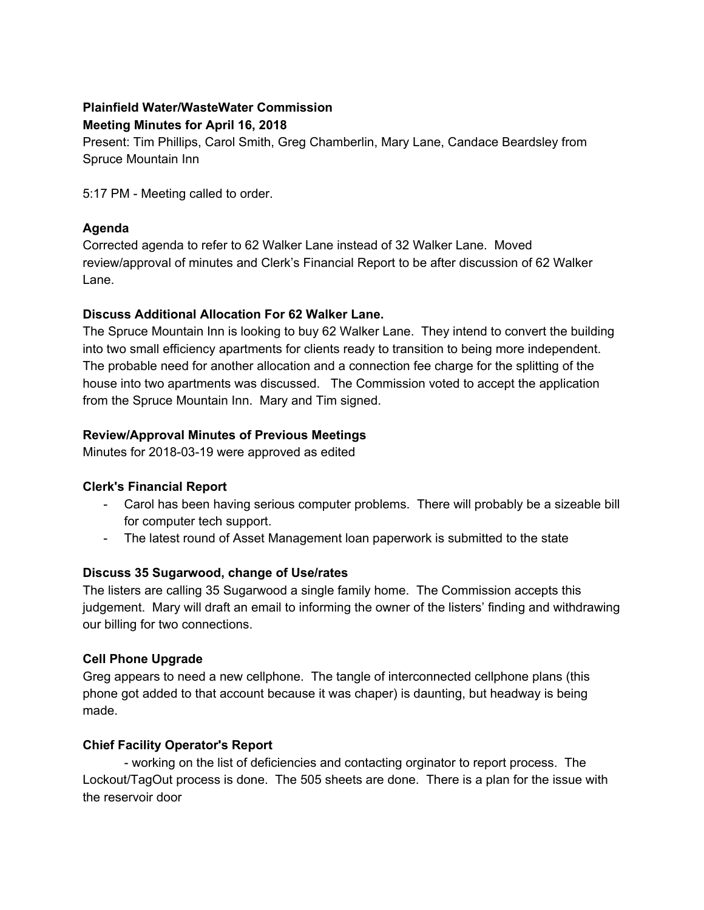# **Plainfield Water/WasteWater Commission Meeting Minutes for April 16, 2018**

Present: Tim Phillips, Carol Smith, Greg Chamberlin, Mary Lane, Candace Beardsley from Spruce Mountain Inn

5:17 PM - Meeting called to order.

### **Agenda**

Corrected agenda to refer to 62 Walker Lane instead of 32 Walker Lane. Moved review/approval of minutes and Clerk's Financial Report to be after discussion of 62 Walker Lane.

### **Discuss Additional Allocation For 62 Walker Lane.**

The Spruce Mountain Inn is looking to buy 62 Walker Lane. They intend to convert the building into two small efficiency apartments for clients ready to transition to being more independent. The probable need for another allocation and a connection fee charge for the splitting of the house into two apartments was discussed. The Commission voted to accept the application from the Spruce Mountain Inn. Mary and Tim signed.

### **Review/Approval Minutes of Previous Meetings**

Minutes for 2018-03-19 were approved as edited

# **Clerk's Financial Report**

- Carol has been having serious computer problems. There will probably be a sizeable bill for computer tech support.
- The latest round of Asset Management loan paperwork is submitted to the state

# **Discuss 35 Sugarwood, change of Use/rates**

The listers are calling 35 Sugarwood a single family home. The Commission accepts this judgement. Mary will draft an email to informing the owner of the listers' finding and withdrawing our billing for two connections.

### **Cell Phone Upgrade**

Greg appears to need a new cellphone. The tangle of interconnected cellphone plans (this phone got added to that account because it was chaper) is daunting, but headway is being made.

# **Chief Facility Operator's Report**

- working on the list of deficiencies and contacting orginator to report process. The Lockout/TagOut process is done. The 505 sheets are done. There is a plan for the issue with the reservoir door